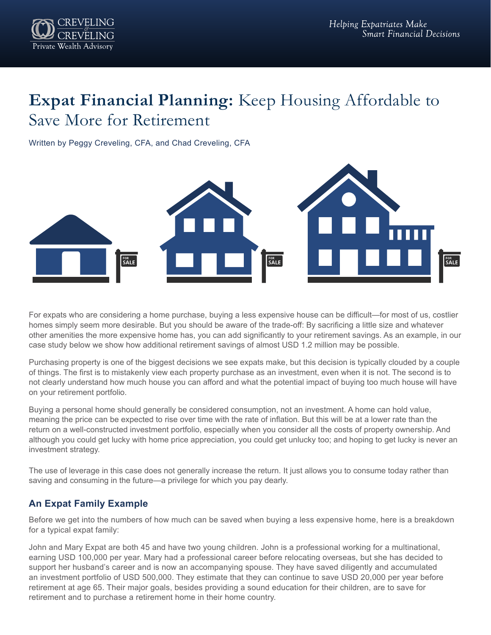

# **Expat Financial Planning:** Keep Housing Affordable to Save More for Retirement

Written by Peggy Creveling, CFA, and Chad Creveling, CFA



For expats who are considering a home purchase, buying a less expensive house can be difficult—for most of us, costlier homes simply seem more desirable. But you should be aware of the trade-off: By sacrificing a little size and whatever other amenities the more expensive home has, you can add significantly to your retirement savings. As an example, in our case study below we show how additional retirement savings of almost USD 1.2 million may be possible.

Purchasing property is one of the biggest decisions we see expats make, but this decision is typically clouded by a couple of things. The first is to mistakenly view each property purchase as an investment, even when it is not. The second is to not clearly understand how much house you can afford and what the potential impact of buying too much house will have on your retirement portfolio.

Buying a personal home should generally be considered consumption, not an investment. A home can hold value, meaning the price can be expected to rise over time with the rate of inflation. But this will be at a lower rate than the return on a well-constructed investment portfolio, especially when you consider all the costs of property ownership. And although you could get lucky with home price appreciation, you could get unlucky too; and hoping to get lucky is never an investment strategy.

The use of leverage in this case does not generally increase the return. It just allows you to consume today rather than saving and consuming in the future—a privilege for which you pay dearly.

## **An Expat Family Example**

Before we get into the numbers of how much can be saved when buying a less expensive home, here is a breakdown for a typical expat family:

John and Mary Expat are both 45 and have two young children. John is a professional working for a multinational, earning USD 100,000 per year. Mary had a professional career before relocating overseas, but she has decided to support her husband's career and is now an accompanying spouse. They have saved diligently and accumulated an investment portfolio of USD 500,000. They estimate that they can continue to save USD 20,000 per year before retirement at age 65. Their major goals, besides providing a sound education for their children, are to save for retirement and to purchase a retirement home in their home country.